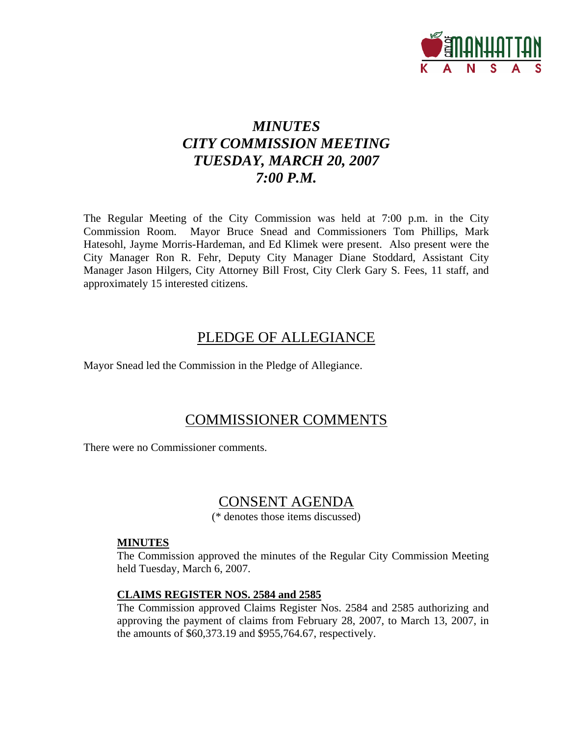

# *MINUTES CITY COMMISSION MEETING TUESDAY, MARCH 20, 2007 7:00 P.M.*

The Regular Meeting of the City Commission was held at 7:00 p.m. in the City Commission Room. Mayor Bruce Snead and Commissioners Tom Phillips, Mark Hatesohl, Jayme Morris-Hardeman, and Ed Klimek were present. Also present were the City Manager Ron R. Fehr, Deputy City Manager Diane Stoddard, Assistant City Manager Jason Hilgers, City Attorney Bill Frost, City Clerk Gary S. Fees, 11 staff, and approximately 15 interested citizens.

## PLEDGE OF ALLEGIANCE

Mayor Snead led the Commission in the Pledge of Allegiance.

## COMMISSIONER COMMENTS

There were no Commissioner comments.

## CONSENT AGENDA

(\* denotes those items discussed)

### **MINUTES**

The Commission approved the minutes of the Regular City Commission Meeting held Tuesday, March 6, 2007.

### **CLAIMS REGISTER NOS. 2584 and 2585**

The Commission approved Claims Register Nos. 2584 and 2585 authorizing and approving the payment of claims from February 28, 2007, to March 13, 2007, in the amounts of \$60,373.19 and \$955,764.67, respectively.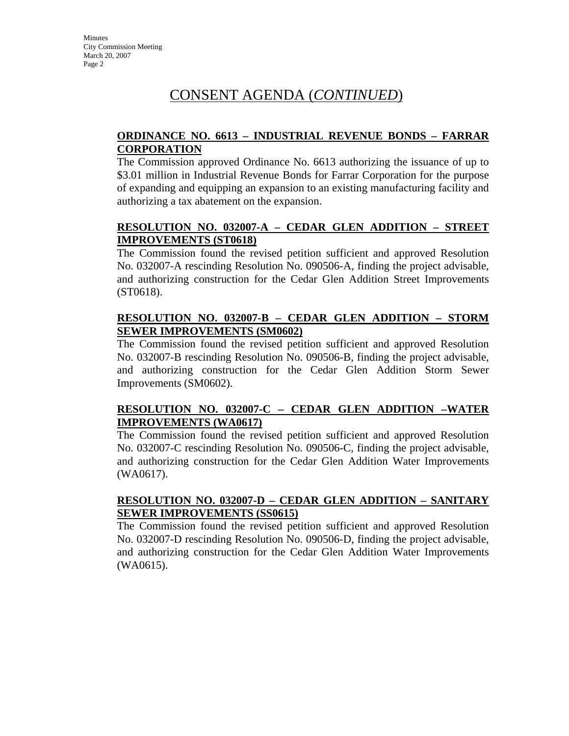**Minutes** City Commission Meeting March 20, 2007 Page 2

## CONSENT AGENDA (*CONTINUED*)

### **ORDINANCE NO. 6613 – INDUSTRIAL REVENUE BONDS – FARRAR CORPORATION**

The Commission approved Ordinance No. 6613 authorizing the issuance of up to \$3.01 million in Industrial Revenue Bonds for Farrar Corporation for the purpose of expanding and equipping an expansion to an existing manufacturing facility and authorizing a tax abatement on the expansion.

### **RESOLUTION NO. 032007-A – CEDAR GLEN ADDITION – STREET IMPROVEMENTS (ST0618)**

The Commission found the revised petition sufficient and approved Resolution No. 032007-A rescinding Resolution No. 090506-A, finding the project advisable, and authorizing construction for the Cedar Glen Addition Street Improvements (ST0618).

### **RESOLUTION NO. 032007-B – CEDAR GLEN ADDITION – STORM SEWER IMPROVEMENTS (SM0602)**

The Commission found the revised petition sufficient and approved Resolution No. 032007-B rescinding Resolution No. 090506-B, finding the project advisable, and authorizing construction for the Cedar Glen Addition Storm Sewer Improvements (SM0602).

### **RESOLUTION NO. 032007-C – CEDAR GLEN ADDITION –WATER IMPROVEMENTS (WA0617)**

The Commission found the revised petition sufficient and approved Resolution No. 032007-C rescinding Resolution No. 090506-C, finding the project advisable, and authorizing construction for the Cedar Glen Addition Water Improvements (WA0617).

### **RESOLUTION NO. 032007-D – CEDAR GLEN ADDITION – SANITARY SEWER IMPROVEMENTS (SS0615)**

The Commission found the revised petition sufficient and approved Resolution No. 032007-D rescinding Resolution No. 090506-D, finding the project advisable, and authorizing construction for the Cedar Glen Addition Water Improvements (WA0615).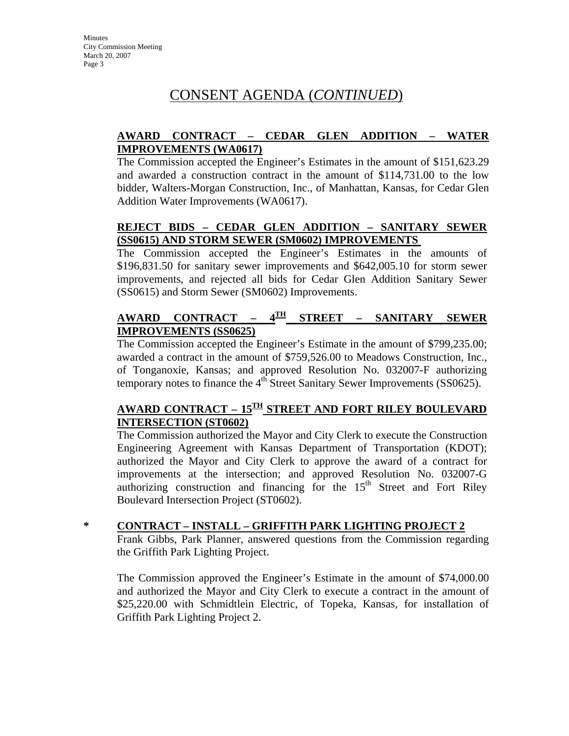**Minutes** City Commission Meeting March 20, 2007 Page 3

## CONSENT AGENDA (*CONTINUED*)

### **AWARD CONTRACT – CEDAR GLEN ADDITION – WATER IMPROVEMENTS (WA0617)**

The Commission accepted the Engineer's Estimates in the amount of \$151,623.29 and awarded a construction contract in the amount of \$114,731.00 to the low bidder, Walters-Morgan Construction, Inc., of Manhattan, Kansas, for Cedar Glen Addition Water Improvements (WA0617).

### **REJECT BIDS – CEDAR GLEN ADDITION – SANITARY SEWER (SS0615) AND STORM SEWER (SM0602) IMPROVEMENTS**

The Commission accepted the Engineer's Estimates in the amounts of \$196,831.50 for sanitary sewer improvements and \$642,005.10 for storm sewer improvements, and rejected all bids for Cedar Glen Addition Sanitary Sewer (SS0615) and Storm Sewer (SM0602) Improvements.

### **AWARD CONTRACT – 4TH STREET – SANITARY SEWER IMPROVEMENTS (SS0625)**

The Commission accepted the Engineer's Estimate in the amount of \$799,235.00; awarded a contract in the amount of \$759,526.00 to Meadows Construction, Inc., of Tonganoxie, Kansas; and approved Resolution No. 032007-F authorizing temporary notes to finance the  $4<sup>th</sup>$  Street Sanitary Sewer Improvements (SS0625).

### **AWARD CONTRACT – 15TH STREET AND FORT RILEY BOULEVARD INTERSECTION (ST0602)**

The Commission authorized the Mayor and City Clerk to execute the Construction Engineering Agreement with Kansas Department of Transportation (KDOT); authorized the Mayor and City Clerk to approve the award of a contract for improvements at the intersection; and approved Resolution No. 032007-G authorizing construction and financing for the  $15<sup>th</sup>$  Street and Fort Riley Boulevard Intersection Project (ST0602).

**\* CONTRACT – INSTALL – GRIFFITH PARK LIGHTING PROJECT 2**

Frank Gibbs, Park Planner, answered questions from the Commission regarding the Griffith Park Lighting Project.

The Commission approved the Engineer's Estimate in the amount of \$74,000.00 and authorized the Mayor and City Clerk to execute a contract in the amount of \$25,220.00 with Schmidtlein Electric, of Topeka, Kansas, for installation of Griffith Park Lighting Project 2.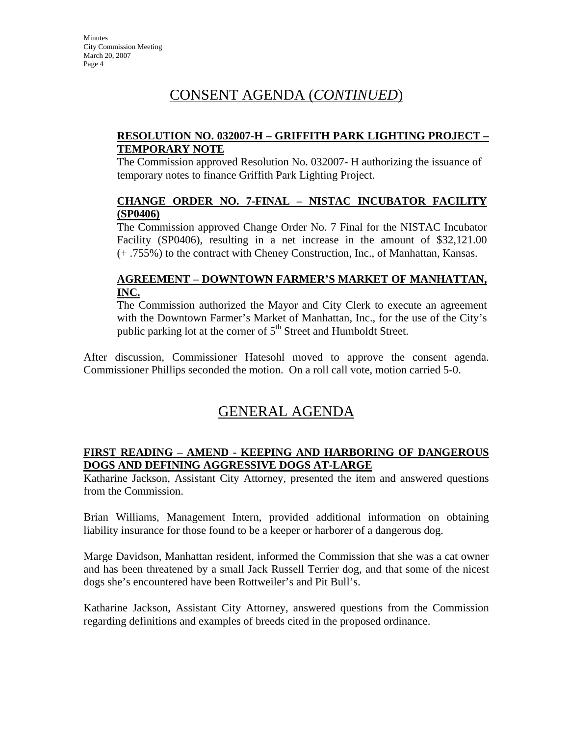## CONSENT AGENDA (*CONTINUED*)

### **RESOLUTION NO. 032007-H – GRIFFITH PARK LIGHTING PROJECT – TEMPORARY NOTE**

The Commission approved Resolution No. 032007- H authorizing the issuance of temporary notes to finance Griffith Park Lighting Project.

### **CHANGE ORDER NO. 7-FINAL – NISTAC INCUBATOR FACILITY (SP0406)**

The Commission approved Change Order No. 7 Final for the NISTAC Incubator Facility (SP0406), resulting in a net increase in the amount of \$32,121.00 (+ .755%) to the contract with Cheney Construction, Inc., of Manhattan, Kansas.

### **AGREEMENT – DOWNTOWN FARMER'S MARKET OF MANHATTAN, INC.**

The Commission authorized the Mayor and City Clerk to execute an agreement with the Downtown Farmer's Market of Manhattan, Inc., for the use of the City's public parking lot at the corner of  $5<sup>th</sup>$  Street and Humboldt Street.

After discussion, Commissioner Hatesohl moved to approve the consent agenda. Commissioner Phillips seconded the motion. On a roll call vote, motion carried 5-0.

## GENERAL AGENDA

### **FIRST READING – AMEND - KEEPING AND HARBORING OF DANGEROUS DOGS AND DEFINING AGGRESSIVE DOGS AT-LARGE**

Katharine Jackson, Assistant City Attorney, presented the item and answered questions from the Commission.

Brian Williams, Management Intern, provided additional information on obtaining liability insurance for those found to be a keeper or harborer of a dangerous dog.

Marge Davidson, Manhattan resident, informed the Commission that she was a cat owner and has been threatened by a small Jack Russell Terrier dog, and that some of the nicest dogs she's encountered have been Rottweiler's and Pit Bull's.

Katharine Jackson, Assistant City Attorney, answered questions from the Commission regarding definitions and examples of breeds cited in the proposed ordinance.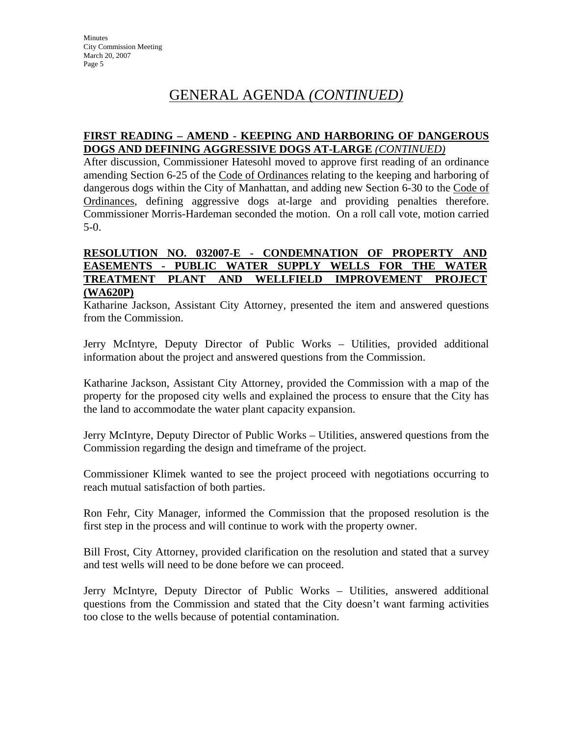## GENERAL AGENDA *(CONTINUED)*

### **FIRST READING – AMEND - KEEPING AND HARBORING OF DANGEROUS DOGS AND DEFINING AGGRESSIVE DOGS AT-LARGE** *(CONTINUED)*

After discussion, Commissioner Hatesohl moved to approve first reading of an ordinance amending Section 6-25 of the Code of Ordinances relating to the keeping and harboring of dangerous dogs within the City of Manhattan, and adding new Section 6-30 to the Code of Ordinances, defining aggressive dogs at-large and providing penalties therefore. Commissioner Morris-Hardeman seconded the motion. On a roll call vote, motion carried 5-0.

#### **RESOLUTION NO. 032007-E - CONDEMNATION OF PROPERTY AND EASEMENTS - PUBLIC WATER SUPPLY WELLS FOR THE WATER TREATMENT PLANT AND WELLFIELD IMPROVEMENT PROJECT (WA620P)**

Katharine Jackson, Assistant City Attorney, presented the item and answered questions from the Commission.

Jerry McIntyre, Deputy Director of Public Works – Utilities, provided additional information about the project and answered questions from the Commission.

Katharine Jackson, Assistant City Attorney, provided the Commission with a map of the property for the proposed city wells and explained the process to ensure that the City has the land to accommodate the water plant capacity expansion.

Jerry McIntyre, Deputy Director of Public Works – Utilities, answered questions from the Commission regarding the design and timeframe of the project.

Commissioner Klimek wanted to see the project proceed with negotiations occurring to reach mutual satisfaction of both parties.

Ron Fehr, City Manager, informed the Commission that the proposed resolution is the first step in the process and will continue to work with the property owner.

Bill Frost, City Attorney, provided clarification on the resolution and stated that a survey and test wells will need to be done before we can proceed.

Jerry McIntyre, Deputy Director of Public Works – Utilities, answered additional questions from the Commission and stated that the City doesn't want farming activities too close to the wells because of potential contamination.